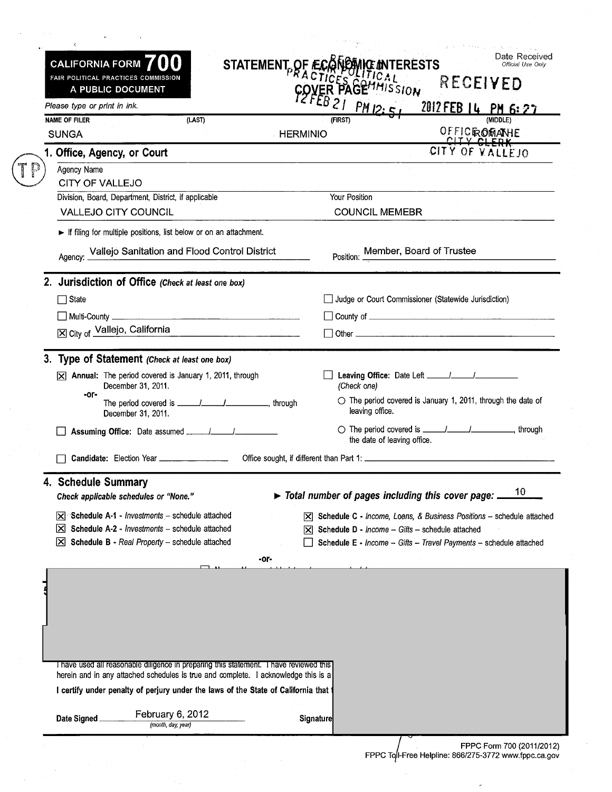|                                                       | (FIRST)                                                                                                                                                                                                                                                                                                                                                                         | 2012 FEB 14<br>PM 6: 27                                                                                                                                                                                                                                                                                                                                                                                                                                                                                                                                                                                                                                                           |
|-------------------------------------------------------|---------------------------------------------------------------------------------------------------------------------------------------------------------------------------------------------------------------------------------------------------------------------------------------------------------------------------------------------------------------------------------|-----------------------------------------------------------------------------------------------------------------------------------------------------------------------------------------------------------------------------------------------------------------------------------------------------------------------------------------------------------------------------------------------------------------------------------------------------------------------------------------------------------------------------------------------------------------------------------------------------------------------------------------------------------------------------------|
|                                                       |                                                                                                                                                                                                                                                                                                                                                                                 | (MIDDLE)                                                                                                                                                                                                                                                                                                                                                                                                                                                                                                                                                                                                                                                                          |
| <b>HERMINIO</b>                                       |                                                                                                                                                                                                                                                                                                                                                                                 | OFFICROMANE                                                                                                                                                                                                                                                                                                                                                                                                                                                                                                                                                                                                                                                                       |
|                                                       |                                                                                                                                                                                                                                                                                                                                                                                 | CITY OF VALLEJO                                                                                                                                                                                                                                                                                                                                                                                                                                                                                                                                                                                                                                                                   |
|                                                       |                                                                                                                                                                                                                                                                                                                                                                                 |                                                                                                                                                                                                                                                                                                                                                                                                                                                                                                                                                                                                                                                                                   |
|                                                       |                                                                                                                                                                                                                                                                                                                                                                                 |                                                                                                                                                                                                                                                                                                                                                                                                                                                                                                                                                                                                                                                                                   |
|                                                       |                                                                                                                                                                                                                                                                                                                                                                                 |                                                                                                                                                                                                                                                                                                                                                                                                                                                                                                                                                                                                                                                                                   |
|                                                       |                                                                                                                                                                                                                                                                                                                                                                                 |                                                                                                                                                                                                                                                                                                                                                                                                                                                                                                                                                                                                                                                                                   |
|                                                       |                                                                                                                                                                                                                                                                                                                                                                                 |                                                                                                                                                                                                                                                                                                                                                                                                                                                                                                                                                                                                                                                                                   |
|                                                       |                                                                                                                                                                                                                                                                                                                                                                                 |                                                                                                                                                                                                                                                                                                                                                                                                                                                                                                                                                                                                                                                                                   |
|                                                       |                                                                                                                                                                                                                                                                                                                                                                                 |                                                                                                                                                                                                                                                                                                                                                                                                                                                                                                                                                                                                                                                                                   |
|                                                       |                                                                                                                                                                                                                                                                                                                                                                                 |                                                                                                                                                                                                                                                                                                                                                                                                                                                                                                                                                                                                                                                                                   |
|                                                       |                                                                                                                                                                                                                                                                                                                                                                                 |                                                                                                                                                                                                                                                                                                                                                                                                                                                                                                                                                                                                                                                                                   |
|                                                       |                                                                                                                                                                                                                                                                                                                                                                                 |                                                                                                                                                                                                                                                                                                                                                                                                                                                                                                                                                                                                                                                                                   |
|                                                       |                                                                                                                                                                                                                                                                                                                                                                                 |                                                                                                                                                                                                                                                                                                                                                                                                                                                                                                                                                                                                                                                                                   |
|                                                       |                                                                                                                                                                                                                                                                                                                                                                                 |                                                                                                                                                                                                                                                                                                                                                                                                                                                                                                                                                                                                                                                                                   |
|                                                       |                                                                                                                                                                                                                                                                                                                                                                                 |                                                                                                                                                                                                                                                                                                                                                                                                                                                                                                                                                                                                                                                                                   |
|                                                       | (Check one)                                                                                                                                                                                                                                                                                                                                                                     |                                                                                                                                                                                                                                                                                                                                                                                                                                                                                                                                                                                                                                                                                   |
|                                                       | leaving office.                                                                                                                                                                                                                                                                                                                                                                 | $\circlearrowright$ The period covered is January 1, 2011, through the date of                                                                                                                                                                                                                                                                                                                                                                                                                                                                                                                                                                                                    |
|                                                       |                                                                                                                                                                                                                                                                                                                                                                                 | ○ The period covered is <u>______/______/</u> ______________, through                                                                                                                                                                                                                                                                                                                                                                                                                                                                                                                                                                                                             |
| Candidate: Election Year ____________________         |                                                                                                                                                                                                                                                                                                                                                                                 |                                                                                                                                                                                                                                                                                                                                                                                                                                                                                                                                                                                                                                                                                   |
|                                                       |                                                                                                                                                                                                                                                                                                                                                                                 |                                                                                                                                                                                                                                                                                                                                                                                                                                                                                                                                                                                                                                                                                   |
|                                                       |                                                                                                                                                                                                                                                                                                                                                                                 | $\frac{10}{1}$                                                                                                                                                                                                                                                                                                                                                                                                                                                                                                                                                                                                                                                                    |
|                                                       |                                                                                                                                                                                                                                                                                                                                                                                 |                                                                                                                                                                                                                                                                                                                                                                                                                                                                                                                                                                                                                                                                                   |
| <b>Schedule A-2 - Investments - schedule attached</b> |                                                                                                                                                                                                                                                                                                                                                                                 |                                                                                                                                                                                                                                                                                                                                                                                                                                                                                                                                                                                                                                                                                   |
| Schedule B - Real Property -- schedule attached       |                                                                                                                                                                                                                                                                                                                                                                                 | Schedule E - Income - Gifts - Travel Payments - schedule attached                                                                                                                                                                                                                                                                                                                                                                                                                                                                                                                                                                                                                 |
| -or-                                                  |                                                                                                                                                                                                                                                                                                                                                                                 |                                                                                                                                                                                                                                                                                                                                                                                                                                                                                                                                                                                                                                                                                   |
|                                                       |                                                                                                                                                                                                                                                                                                                                                                                 |                                                                                                                                                                                                                                                                                                                                                                                                                                                                                                                                                                                                                                                                                   |
|                                                       |                                                                                                                                                                                                                                                                                                                                                                                 |                                                                                                                                                                                                                                                                                                                                                                                                                                                                                                                                                                                                                                                                                   |
|                                                       |                                                                                                                                                                                                                                                                                                                                                                                 |                                                                                                                                                                                                                                                                                                                                                                                                                                                                                                                                                                                                                                                                                   |
|                                                       |                                                                                                                                                                                                                                                                                                                                                                                 |                                                                                                                                                                                                                                                                                                                                                                                                                                                                                                                                                                                                                                                                                   |
|                                                       |                                                                                                                                                                                                                                                                                                                                                                                 |                                                                                                                                                                                                                                                                                                                                                                                                                                                                                                                                                                                                                                                                                   |
|                                                       |                                                                                                                                                                                                                                                                                                                                                                                 |                                                                                                                                                                                                                                                                                                                                                                                                                                                                                                                                                                                                                                                                                   |
|                                                       |                                                                                                                                                                                                                                                                                                                                                                                 |                                                                                                                                                                                                                                                                                                                                                                                                                                                                                                                                                                                                                                                                                   |
|                                                       |                                                                                                                                                                                                                                                                                                                                                                                 |                                                                                                                                                                                                                                                                                                                                                                                                                                                                                                                                                                                                                                                                                   |
|                                                       | If filing for multiple positions, list below or on an attachment.<br>Agency: Vallejo Sanitation and Flood Control District<br>2. Jurisdiction of Office (Check at least one box)<br>Type of Statement (Check at least one box)<br>$\boxed{\times}$ Annual: The period covered is January 1, 2011, through<br>$ \mathbf{\times} $ Schedule A-1 - Investments - schedule attached | Your Position<br><b>COUNCIL MEMEBR</b><br>Position: Member, Board of Trustee<br>Judge or Court Commissioner (Statewide Jurisdiction)<br>the date of leaving office.<br>$\triangleright$ Total number of pages including this cover page: $\perp$<br>$\vert X \vert$ Schedule C - Income, Loans, & Business Positions - schedule attached<br>$ \mathbf{X} $ Schedule D - Income - Gifts - schedule attached<br>I have used all reasonable diligence in preparing this statement. I have reviewed this<br>herein and in any attached schedules is true and complete. I acknowledge this is a<br>I certify under penalty of perjury under the laws of the State of California that t |

 $\hat{c}$ 

i.

FPPC Form 700 (2011/2012)<br>FPPC Toll-Free Helpline: 866/275-3772 www.fppc.ca.gov

l,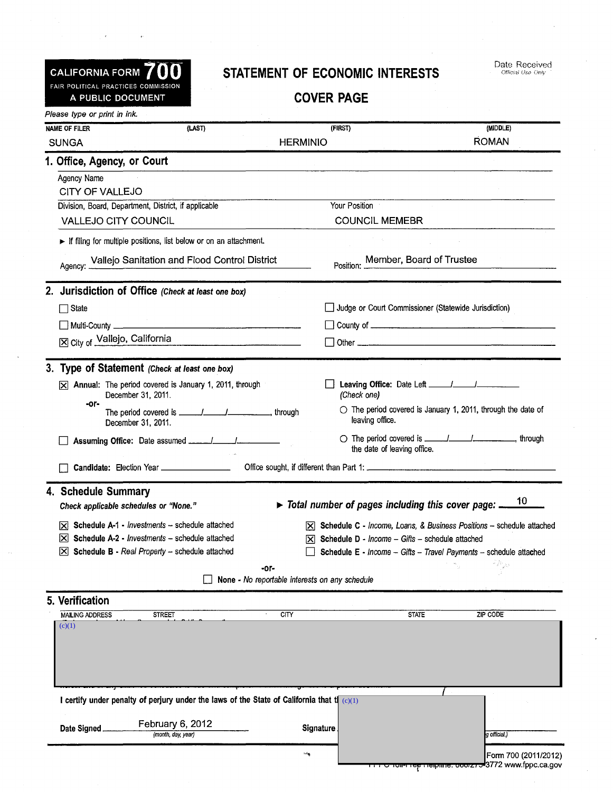$\ddot{\phantom{a}}$ 

FAIR POLITICAL PRACTICES COMMISSION<br>A PUBLIC DOCUMENT

## CALIFORNIA FORM **700 STATEMENT OF ECONOMIC INTERESTS**

Date Received<br>Official Use Only

**COVER PAGE** 

| Please type or print in ink.   |                                                                                                                                                                            |                                                        |                                                                                                                      |                                                                                      |
|--------------------------------|----------------------------------------------------------------------------------------------------------------------------------------------------------------------------|--------------------------------------------------------|----------------------------------------------------------------------------------------------------------------------|--------------------------------------------------------------------------------------|
| <b>NAME OF FILER</b>           | (LAST)                                                                                                                                                                     |                                                        | (FIRST)                                                                                                              | (MIDDLE)                                                                             |
| <b>SUNGA</b>                   |                                                                                                                                                                            | <b>HERMINIO</b>                                        |                                                                                                                      | <b>ROMAN</b>                                                                         |
| 1. Office, Agency, or Court    |                                                                                                                                                                            |                                                        |                                                                                                                      |                                                                                      |
| Agency Name<br>CITY OF VALLEJO |                                                                                                                                                                            |                                                        |                                                                                                                      |                                                                                      |
|                                | Division, Board, Department, District, if applicable                                                                                                                       |                                                        | Your Position                                                                                                        |                                                                                      |
|                                | <b>VALLEJO CITY COUNCIL</b>                                                                                                                                                |                                                        | <b>COUNCIL MEMEBR</b>                                                                                                |                                                                                      |
|                                | $\triangleright$ If filing for multiple positions, list below or on an attachment.                                                                                         |                                                        |                                                                                                                      |                                                                                      |
|                                | Agency: Vallejo Sanitation and Flood Control District                                                                                                                      |                                                        | Member, Board of Trustee<br>Position:                                                                                |                                                                                      |
|                                | 2. Jurisdiction of Office (Check at least one box)                                                                                                                         |                                                        |                                                                                                                      |                                                                                      |
| $\Box$ State                   |                                                                                                                                                                            |                                                        | Judge or Court Commissioner (Statewide Jurisdiction)                                                                 |                                                                                      |
|                                |                                                                                                                                                                            |                                                        | $\Box$ County of $\Box$                                                                                              |                                                                                      |
|                                | X City of Vallejo, California                                                                                                                                              |                                                        |                                                                                                                      |                                                                                      |
|                                | 3. Type of Statement (Check at least one box)                                                                                                                              |                                                        |                                                                                                                      |                                                                                      |
| IХI                            | Annual: The period covered is January 1, 2011, through<br>December 31, 2011.                                                                                               |                                                        | (Check one)                                                                                                          |                                                                                      |
| -or-                           | December 31, 2011.                                                                                                                                                         |                                                        | $\circ$ The period covered is January 1, 2011, through the date of<br>leaving office.                                |                                                                                      |
|                                |                                                                                                                                                                            |                                                        | the date of leaving office.                                                                                          |                                                                                      |
|                                |                                                                                                                                                                            |                                                        |                                                                                                                      |                                                                                      |
| 4. Schedule Summary            | Check applicable schedules or "None."                                                                                                                                      |                                                        | $\blacktriangleright$ Total number of pages including this cover page: ____10                                        |                                                                                      |
| IХI<br>IХ                      | $\boxed{\times}$ Schedule A-1 - <i>Investments</i> - schedule attached<br>Schedule A-2 - Investments - schedule attached<br>Schedule B - Real Property - schedule attached | IХI                                                    | Schedule D - Income - Gifts - schedule attached<br>Schedule E - Income - Gifts - Travel Payments - schedule attached | $[\times]$ Schedule C - Income, Loans, & Business Positions - schedule attached      |
|                                |                                                                                                                                                                            | -or-<br>None - No reportable interests on any schedule |                                                                                                                      |                                                                                      |
| 5. Verification                |                                                                                                                                                                            |                                                        |                                                                                                                      |                                                                                      |
| <b>MAILING ADDRESS</b>         | <b>STREET</b>                                                                                                                                                              | CITY                                                   | <b>STATE</b>                                                                                                         | ZIP CODE                                                                             |
| (c)(1)                         |                                                                                                                                                                            |                                                        |                                                                                                                      |                                                                                      |
|                                | I certify under penalty of perjury under the laws of the State of California that the $(e)(1)$                                                                             |                                                        |                                                                                                                      |                                                                                      |
| <b>Date Signed</b>             | February 6, 2012<br>(month, day, year)                                                                                                                                     | <b>Signature</b>                                       |                                                                                                                      | g official.)                                                                         |
|                                |                                                                                                                                                                            | ndy.                                                   |                                                                                                                      |                                                                                      |
|                                |                                                                                                                                                                            |                                                        |                                                                                                                      | Form 700 (2011/2012)<br><del>J</del> 3772 www.fppc.ca.gov<br><b>TCIDIITIC, OUUIZ</b> |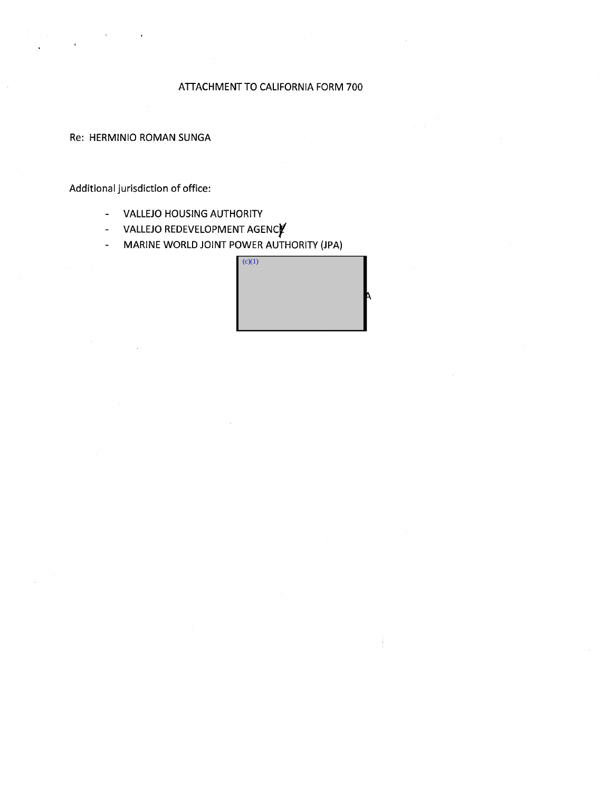#### ATIACHMENT TO CALIFORNIA FORM 700

Re: HERMINIO ROMAN SUNGA

Additional jurisdiction of office:

- $\mathbf{r}$ VALLEJO HOUSING AUTHORITY
- VALLEJO REDEVELOPMENT AGENC**Y**
- MARINE WORLD JOINT POWER AUTHORITY (JPA)

| (c)(1) |  |  |  |
|--------|--|--|--|
|        |  |  |  |
|        |  |  |  |
|        |  |  |  |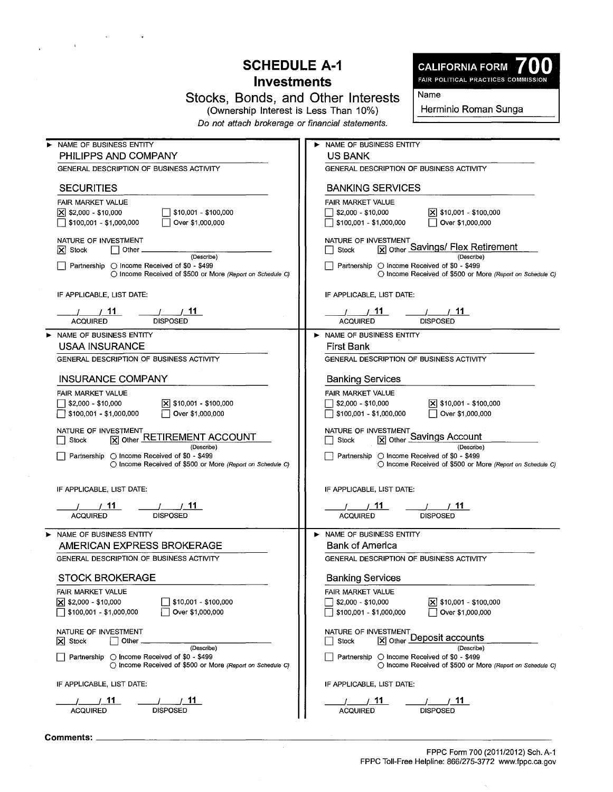## **SCHEDULE A-1 Investments**

Stocks, Bonds, and Other Interests

CALIFORNIA FORM 700

Name

Herminio Roman Sunga

| (Ownership Interest is Less Than 10%)            |  |
|--------------------------------------------------|--|
| Do not attach brokerage or financial statements. |  |

| NAME OF BUSINESS ENTITY                                                                                                 | NAME OF BUSINESS ENTITY                                                                                                                     |
|-------------------------------------------------------------------------------------------------------------------------|---------------------------------------------------------------------------------------------------------------------------------------------|
| PHILIPPS AND COMPANY                                                                                                    | US BANK                                                                                                                                     |
| GENERAL DESCRIPTION OF BUSINESS ACTIVITY                                                                                | GENERAL DESCRIPTION OF BUSINESS ACTIVITY                                                                                                    |
| <b>SECURITIES</b>                                                                                                       | <b>BANKING SERVICES</b>                                                                                                                     |
| <b>FAIR MARKET VALUE</b>                                                                                                | <b>FAIR MARKET VALUE</b>                                                                                                                    |
| X \$2,000 - \$10,000<br>\$10,001 - \$100,000                                                                            | $\parallel$ \$2,000 - \$10,000<br>$ X $ \$10,001 - \$100,000                                                                                |
| \$100,001 - \$1,000,000<br>Over \$1,000,000                                                                             | Over \$1,000,000<br>  \$100,001 - \$1,000,000                                                                                               |
| NATURE OF INVESTMENT<br>$ \mathsf{X} $ Stock<br>│ │ Other                                                               | NATURE OF INVESTMENT<br>X Other Savings/ Flex Retirement<br><b>Stock</b>                                                                    |
| (Describe)<br>Partnership ○ Income Received of \$0 - \$499<br>○ Income Received of \$500 or More (Report on Schedule C) | (Describe)<br>  Partnership $\circlearrowright$ Income Received of \$0 - \$499<br>○ Income Received of \$500 or More (Report on Schedule C) |
| IF APPLICABLE, LIST DATE:                                                                                               | IF APPLICABLE, LIST DATE:                                                                                                                   |
| <i>II</i> 11                                                                                                            | 1/11                                                                                                                                        |
| <b>DISPOSED</b><br><b>ACQUIRED</b>                                                                                      | DISPOSED<br><b>ACQUIRED</b>                                                                                                                 |
| NAME OF BUSINESS ENTITY                                                                                                 | NAME OF BUSINESS ENTITY                                                                                                                     |
| <b>USAA INSURANCE</b>                                                                                                   | <b>First Bank</b>                                                                                                                           |
| GENERAL DESCRIPTION OF BUSINESS ACTIVITY                                                                                | GENERAL DESCRIPTION OF BUSINESS ACTIVITY                                                                                                    |
| <b>INSURANCE COMPANY</b>                                                                                                | <b>Banking Services</b>                                                                                                                     |
| FAIR MARKET VALUE                                                                                                       | <b>FAIR MARKET VALUE</b>                                                                                                                    |
| \$2,000 - \$10,000<br>$\overline{X}$ \$10,001 - \$100,000<br>$\blacksquare$                                             | $\vert\mathsf{X}\vert$ \$10,001 - \$100,000<br>$\frac{1}{2}$ \$2,000 - \$10,000                                                             |
| Over \$1,000,000<br>  \$100,001 - \$1,000,000                                                                           | Over \$1,000,000<br>\$100,001 - \$1,000,000                                                                                                 |
| NATURE OF INVESTMENT                                                                                                    | NATURE OF INVESTMENT<br>□ Stock      X   Other Savings Account                                                                              |
| X Other RETIREMENT ACCOUNT<br>Stock<br>(Describe)                                                                       | (Describe)                                                                                                                                  |
| Partnership ○ Income Received of \$0 - \$499<br>○ Income Received of \$500 or More (Report on Schedule C)               | Partnership $\bigcirc$ Income Received of \$0 - \$499<br>◯ Income Received of \$500 or More (Report on Schedule C)                          |
| IF APPLICABLE, LIST DATE:                                                                                               | IF APPLICABLE, LIST DATE:                                                                                                                   |
| 11<br>11                                                                                                                | / 11<br>11                                                                                                                                  |
| <b>ACQUIRED</b><br><b>DISPOSED</b>                                                                                      | <b>ACQUIRED</b><br><b>DISPOSED</b>                                                                                                          |
| NAME OF BUSINESS ENTITY                                                                                                 | NAME OF BUSINESS ENTITY                                                                                                                     |
| AMERICAN EXPRESS BROKERAGE                                                                                              | <b>Bank of America</b>                                                                                                                      |
| GENERAL DESCRIPTION OF BUSINESS ACTIVITY                                                                                | GENERAL DESCRIPTION OF BUSINESS ACTIVITY                                                                                                    |
| <b>STOCK BROKERAGE</b>                                                                                                  | <b>Banking Services</b>                                                                                                                     |
| <b>FAIR MARKET VALUE</b>                                                                                                | FAIR MARKET VALUE                                                                                                                           |
| X \$2,000 - \$10,000<br>\$10,001 - \$100,000                                                                            | $$2,000 - $10,000$<br>$ \mathsf{x} $ \$10,001 - \$100,000                                                                                   |
| \$100,001 - \$1,000,000<br>Over \$1,000,000                                                                             | \$100,001 - \$1,000,000<br>Over \$1,000,000                                                                                                 |
| NATURE OF INVESTMENT                                                                                                    | NATURE OF INVESTMENT                                                                                                                        |
| Other<br>$ X $ Stock                                                                                                    | X Other Deposit accounts<br><b>Stock</b>                                                                                                    |
| (Describe)<br>Partnership ◯ Income Received of \$0 - \$499                                                              | (Describe)<br>Partnership ○ Income Received of \$0 - \$499                                                                                  |
| ○ Income Received of \$500 or More (Report on Schedule C)                                                               | ◯ Income Received of \$500 or More (Report on Schedule C)                                                                                   |
| IF APPLICABLE, LIST DATE:                                                                                               | IF APPLICABLE, LIST DATE:                                                                                                                   |
| 11<br>$\frac{1}{2}$ $\frac{1}{2}$ 11                                                                                    | / 11                                                                                                                                        |
| <b>DISPOSED</b><br><b>ACQUIRED</b>                                                                                      | <b>ACQUIRED</b><br><b>DISPOSED</b>                                                                                                          |
|                                                                                                                         |                                                                                                                                             |
| Comments:                                                                                                               |                                                                                                                                             |

 $\epsilon$ 

J.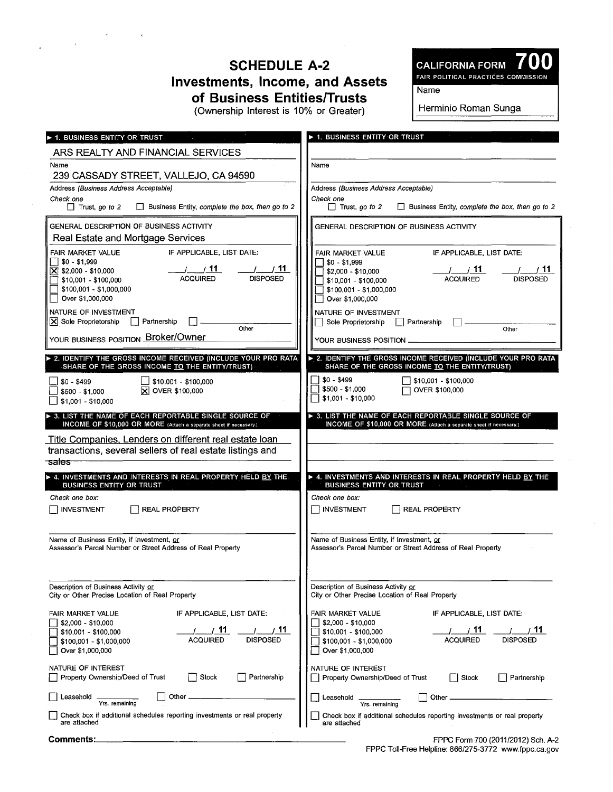# **SCHEDULE A-2 Investments, Income, and Assets** of Business Entities/Trusts

 $\overline{a}$ 

(Ownership Interest is 10% or Greater)

**CALIFORNIA FORM** 7 FAIR POLITICAL PRACTICES COMMISSION

Name

Herminio Roman Sunga

| ▶ 1. BUSINESS ENTITY OR TRUST                                                                                                                                               | ▶ 1. BUSINESS ENTITY OR TRUST                                                                                                                                                              |
|-----------------------------------------------------------------------------------------------------------------------------------------------------------------------------|--------------------------------------------------------------------------------------------------------------------------------------------------------------------------------------------|
| ARS REALTY AND FINANCIAL SERVICES                                                                                                                                           |                                                                                                                                                                                            |
| Name<br>239 CASSADY STREET, VALLEJO, CA 94590                                                                                                                               | Name                                                                                                                                                                                       |
| Address (Business Address Acceptable)                                                                                                                                       | Address (Business Address Acceptable)                                                                                                                                                      |
| Check one                                                                                                                                                                   | Check one                                                                                                                                                                                  |
| $\Box$ Trust, go to 2                                                                                                                                                       | $\Box$ Trust, go to 2                                                                                                                                                                      |
| $\Box$ Business Entity, complete the box, then go to 2                                                                                                                      | $\Box$ Business Entity, complete the box, then go to 2                                                                                                                                     |
| GENERAL DESCRIPTION OF BUSINESS ACTIVITY<br>Real Estate and Mortgage Services                                                                                               | GENERAL DESCRIPTION OF BUSINESS ACTIVITY                                                                                                                                                   |
| IF APPLICABLE, LIST DATE:                                                                                                                                                   | IF APPLICABLE, LIST DATE:                                                                                                                                                                  |
| FAIR MARKET VALUE                                                                                                                                                           | FAIR MARKET VALUE                                                                                                                                                                          |
| 1 \$0 - \$1,999<br>__/ ___/ <b>11</b><br>ACQUIRED<br>$\frac{1}{\sqrt{11}}$<br>$\overline{\mathsf{x}}$ \$2,000 - \$10,000<br>\$10,001 - \$100,000<br>\$100,001 - \$1,000,000 | $$0 - $1,999$<br>_/____/_ <b>11</b> _<br>ACQUIRED<br>$\frac{1}{\sqrt{11}}$<br>\$2,000 - \$10,000<br><b>DISPOSED</b><br>\$10,001 - \$100,000<br>\$100,001 - \$1,000,000<br>Over \$1,000,000 |
| NATURE OF INVESTMENT                                                                                                                                                        | NATURE OF INVESTMENT                                                                                                                                                                       |
| X Sole Proprietorship                                                                                                                                                       | Sole Proprietorship                                                                                                                                                                        |
| Partnership                                                                                                                                                                 | Partnership                                                                                                                                                                                |
| Other                                                                                                                                                                       | Other                                                                                                                                                                                      |
| YOUR BUSINESS POSITION Broker/Owner                                                                                                                                         | YOUR BUSINESS POSITION _                                                                                                                                                                   |
| 2. IDENTIFY THE GROSS INCOME RECEIVED (INCLUDE YOUR PRO RATA                                                                                                                | > 2. IDENTIFY THE GROSS INCOME RECEIVED (INCLUDE YOUR PRO RATA                                                                                                                             |
| SHARE OF THE GROSS INCOME TO THE ENTITY/TRUST)                                                                                                                              | SHARE OF THE GROSS INCOME TO THE ENTITY/TRUST)                                                                                                                                             |
| $\Box$ \$10.001 - \$100.000                                                                                                                                                 | $$0 - $499$                                                                                                                                                                                |
| 50 - \$499                                                                                                                                                                  | \$10,001 - \$100,000                                                                                                                                                                       |
| X OVER \$100,000                                                                                                                                                            | $$500 - $1,000$                                                                                                                                                                            |
| $$500 - $1,000$                                                                                                                                                             | OVER \$100,000                                                                                                                                                                             |
| $$1,001 - $10,000$                                                                                                                                                          | $$1,001 - $10,000$                                                                                                                                                                         |
| > 3. LIST THE NAME OF EACH REPORTABLE SINGLE SOURCE OF                                                                                                                      | > 3. LIST THE NAME OF EACH REPORTABLE SINGLE SOURCE OF                                                                                                                                     |
| INCOME OF \$10,000 OR MORE (Attach a separate sheet if necessary.)                                                                                                          | INCOME OF \$10,000 OR MORE (Attach a separate sheet if necessary.)                                                                                                                         |
| Title Companies, Lenders on different real estate loan                                                                                                                      |                                                                                                                                                                                            |
| transactions, several sellers of real estate listings and<br><del>-sales</del>                                                                                              |                                                                                                                                                                                            |
| 4. INVESTMENTS AND INTERESTS IN REAL PROPERTY HELD BY THE                                                                                                                   | A. INVESTMENTS AND INTERESTS IN REAL PROPERTY HELD BY THE                                                                                                                                  |
| <b>BUSINESS ENTITY OR TRUST</b>                                                                                                                                             | <b>BUSINESS ENTITY OR TRUST</b>                                                                                                                                                            |
| Check one box:                                                                                                                                                              | Check one box:                                                                                                                                                                             |
| I INVESTMENT                                                                                                                                                                | <b>NVESTMENT</b>                                                                                                                                                                           |
| REAL PROPERTY                                                                                                                                                               | REAL PROPERTY                                                                                                                                                                              |
| Name of Business Entity, if Investment, or                                                                                                                                  | Name of Business Entity, if Investment, or                                                                                                                                                 |
| Assessor's Parcel Number or Street Address of Real Property                                                                                                                 | Assessor's Parcel Number or Street Address of Real Property                                                                                                                                |
| Description of Business Activity or                                                                                                                                         | Description of Business Activity or                                                                                                                                                        |
| City or Other Precise Location of Real Property                                                                                                                             | City or Other Precise Location of Real Property                                                                                                                                            |
| IF APPLICABLE, LIST DATE:                                                                                                                                                   | FAIR MARKET VALUE                                                                                                                                                                          |
| FAIR MARKET VALUE                                                                                                                                                           | IF APPLICABLE, LIST DATE:                                                                                                                                                                  |
| $$2,000 - $10,000$                                                                                                                                                          | \$2,000 - \$10,000                                                                                                                                                                         |
| 11                                                                                                                                                                          | 11                                                                                                                                                                                         |
| 11                                                                                                                                                                          | 11                                                                                                                                                                                         |
| \$10,001 - \$100,000                                                                                                                                                        | \$10,001 - \$100,000                                                                                                                                                                       |
| <b>ACQUIRED</b>                                                                                                                                                             | ACQUIRED                                                                                                                                                                                   |
| <b>DISPOSED</b>                                                                                                                                                             | <b>DISPOSED</b>                                                                                                                                                                            |
| \$100,001 - \$1,000,000                                                                                                                                                     | \$100,001 - \$1,000,000                                                                                                                                                                    |
| Over \$1,000,000                                                                                                                                                            | Over \$1,000,000                                                                                                                                                                           |
| NATURE OF INTEREST<br>Stock<br>Partnership<br>Property Ownership/Deed of Trust                                                                                              | NATURE OF INTEREST<br>Property Ownership/Deed of Trust<br>Stock<br>Partnership<br>$\mathsf{L}$                                                                                             |
| Other                                                                                                                                                                       | Other                                                                                                                                                                                      |
| Leasehold                                                                                                                                                                   | Leasehold                                                                                                                                                                                  |
| Yrs. remaining                                                                                                                                                              | Yrs. remaining                                                                                                                                                                             |
| Check box if additional schedules reporting investments or real property                                                                                                    | Check box if additional schedules reporting investments or real property                                                                                                                   |
| are attached                                                                                                                                                                | are attached                                                                                                                                                                               |
| Comments:                                                                                                                                                                   | FPPC Form 700 (2011/2012) Sch. A-2                                                                                                                                                         |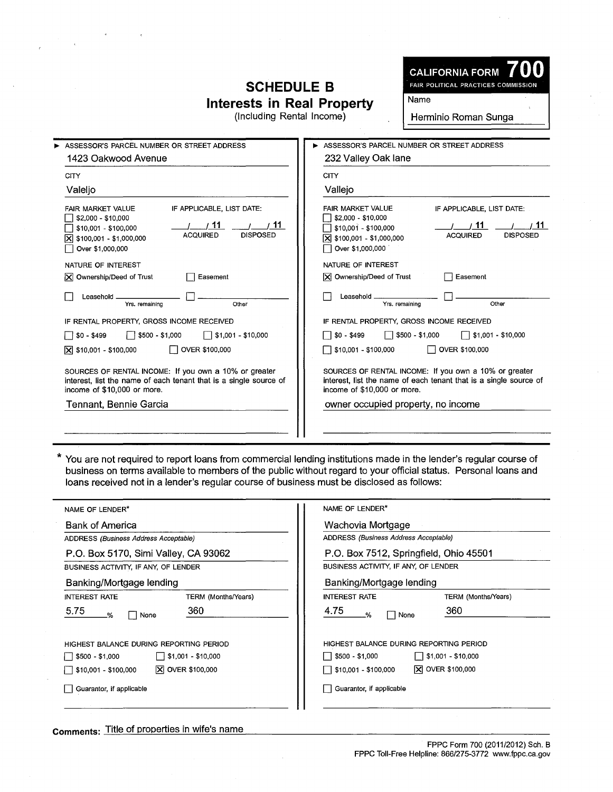## **SCHEDULE B Interests in Real Property**

**CALIFORNIA FORM** FAIR POLITICAL PRACTICES COMMISSION **Name** 

(Including Rental Income)

Herminio Roman Sunga

| ASSESSOR'S PARCEL NUMBER OR STREET ADDRESS                                                                                                                                                                     | ASSESSOR'S PARCEL NUMBER OR STREET ADDRESS                                                                                                                                                                          |
|----------------------------------------------------------------------------------------------------------------------------------------------------------------------------------------------------------------|---------------------------------------------------------------------------------------------------------------------------------------------------------------------------------------------------------------------|
| 1423 Oakwood Avenue                                                                                                                                                                                            | 232 Valley Oak lane                                                                                                                                                                                                 |
| <b>CITY</b>                                                                                                                                                                                                    | <b>CITY</b>                                                                                                                                                                                                         |
| Valeljo                                                                                                                                                                                                        | Vallejo                                                                                                                                                                                                             |
| <b>FAIR MARKET VALUE</b><br>IF APPLICABLE, LIST DATE:<br>\$2,000 - \$10,000<br>11<br>11<br>\$10,001 - \$100,000<br><b>DISPOSED</b><br><b>ACQUIRED</b><br>$\vert$ X \$100,001 - \$1,000,000<br>Over \$1,000,000 | <b>FAIR MARKET VALUE</b><br>IF APPLICABLE, LIST DATE:<br>\$2,000 - \$10,000<br>11<br>11<br>$$10,001 - $100,000$<br><b>ACQUIRED</b><br><b>DISPOSED</b><br>$\overline{X}$ \$100,001 - \$1,000,000<br>Over \$1,000,000 |
| NATURE OF INTEREST                                                                                                                                                                                             | NATURE OF INTEREST                                                                                                                                                                                                  |
| X Ownership/Deed of Trust<br>Easement                                                                                                                                                                          | $ \mathbf{X} $ Ownership/Deed of Trust<br>Easement                                                                                                                                                                  |
| Leasehold<br>Yrs, remaining<br>Other                                                                                                                                                                           | Leasehold<br>Other<br>Yrs. remaining                                                                                                                                                                                |
| IF RENTAL PROPERTY, GROSS INCOME RECEIVED                                                                                                                                                                      | IF RENTAL PROPERTY, GROSS INCOME RECEIVED                                                                                                                                                                           |
| $$500 - $1,000$<br>$\Box$ \$1,001 - \$10,000<br>$$0 - $499$                                                                                                                                                    | \$500 - \$1,000<br>$\Box$ \$1,001 - \$10,000<br>$$0 - $499$                                                                                                                                                         |
| OVER \$100,000<br>$\mathbf{\nabla}$ \$10,001 - \$100,000                                                                                                                                                       | \$10,001 - \$100,000<br>OVER \$100,000<br>$\perp$                                                                                                                                                                   |
| SOURCES OF RENTAL INCOME: If you own a 10% or greater<br>interest, list the name of each tenant that is a single source of<br>income of \$10,000 or more.                                                      | SOURCES OF RENTAL INCOME: If you own a 10% or greater<br>interest, list the name of each tenant that is a single source of<br>income of \$10,000 or more.                                                           |
| Tennant, Bennie Garcia                                                                                                                                                                                         | owner occupied property, no income                                                                                                                                                                                  |
|                                                                                                                                                                                                                |                                                                                                                                                                                                                     |
|                                                                                                                                                                                                                |                                                                                                                                                                                                                     |
|                                                                                                                                                                                                                |                                                                                                                                                                                                                     |

\* You are not required to report loans from commercial lending institutions made in the lender's regular course of business on terms available to members of the public without regard to your official status. Personal loans and loans received not in a lender's regular course of business must be disclosed as follows:

| NAME OF LENDER*                                    | NAME OF LENDER*                                 |  |  |
|----------------------------------------------------|-------------------------------------------------|--|--|
| <b>Bank of America</b>                             | Wachovia Mortgage                               |  |  |
| ADDRESS (Business Address Acceptable)              | ADDRESS (Business Address Acceptable)           |  |  |
| P.O. Box 5170, Simi Valley, CA 93062               | P.O. Box 7512, Springfield, Ohio 45501          |  |  |
| BUSINESS ACTIVITY, IF ANY, OF LENDER               | BUSINESS ACTIVITY, IF ANY, OF LENDER            |  |  |
| Banking/Mortgage lending                           | Banking/Mortgage lending                        |  |  |
| TERM (Months/Years)<br><b>INTEREST RATE</b>        | <b>INTEREST RATE</b><br>TERM (Months/Years)     |  |  |
| 360<br>5.75<br>%<br>None                           | 360<br>4.75<br>None<br>%                        |  |  |
| HIGHEST BALANCE DURING REPORTING PERIOD            | HIGHEST BALANCE DURING REPORTING PERIOD         |  |  |
| $\sqrt{ }$ \$1,001 - \$10,000<br>  \$500 - \$1,000 | \$500 - \$1,000                                 |  |  |
| <b>X OVER \$100,000</b><br>\$10,001 - \$100,000    | <b>X OVER \$100,000</b><br>\$10,001 - \$100,000 |  |  |
| Guarantor, if applicable                           | Guarantor, if applicable                        |  |  |

Comments: Title of properties in wife's name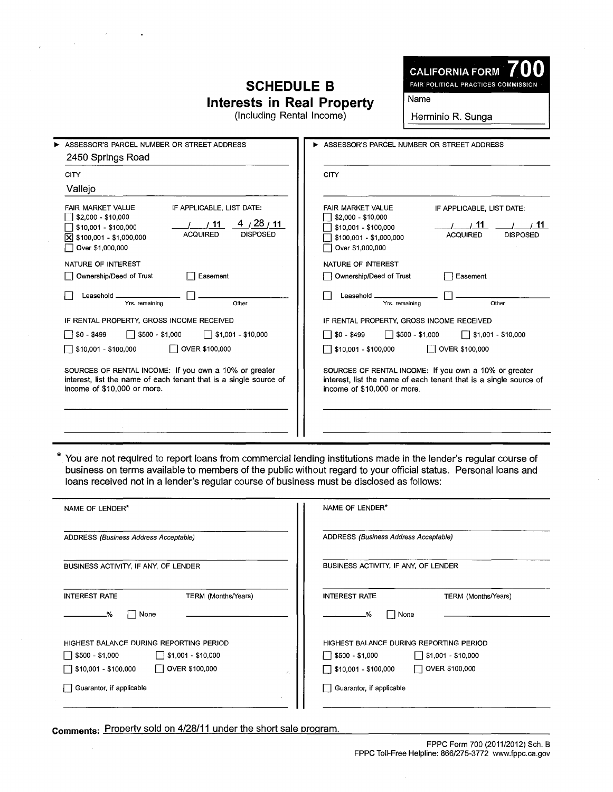#### **SCHEDULE B Interests in Real Property** (Including Rental Income)

**CALIFORNIA FORM** 

FAIR POLITICAL PRACTICES COMMISSION

Name

Herminio R. Sunga

| ASSESSOR'S PARCEL NUMBER OR STREET ADDRESS                                                                                                                                                                               | ASSESSOR'S PARCEL NUMBER OR STREET ADDRESS                                                                                                                                                           |
|--------------------------------------------------------------------------------------------------------------------------------------------------------------------------------------------------------------------------|------------------------------------------------------------------------------------------------------------------------------------------------------------------------------------------------------|
| 2450 Springs Road                                                                                                                                                                                                        |                                                                                                                                                                                                      |
| <b>CITY</b>                                                                                                                                                                                                              | <b>CITY</b>                                                                                                                                                                                          |
| Vallejo                                                                                                                                                                                                                  |                                                                                                                                                                                                      |
| <b>FAIR MARKET VALUE</b><br>IF APPLICABLE, LIST DATE:<br>$$2,000 - $10,000$<br>4/28/11<br>11<br>\$10,001 - \$100,000<br><b>ACQUIRED</b><br><b>DISPOSED</b><br>$\overline{X}$ \$100,001 - \$1,000,000<br>Over \$1,000,000 | <b>FAIR MARKET VALUE</b><br>IF APPLICABLE, LIST DATE:<br>\$2,000 - \$10,000<br>11<br>11<br>\$10,001 - \$100,000<br><b>ACQUIRED</b><br><b>DISPOSED</b><br>\$100,001 - \$1,000,000<br>Over \$1,000,000 |
| NATURE OF INTEREST                                                                                                                                                                                                       | NATURE OF INTEREST                                                                                                                                                                                   |
| Ownership/Deed of Trust<br>Easement                                                                                                                                                                                      | Ownership/Deed of Trust<br>Easement                                                                                                                                                                  |
| Leasehold <sub>-</sub><br>Yrs. remaining<br>Other                                                                                                                                                                        | Leasehold _<br>Other<br>Yrs. remaining                                                                                                                                                               |
| IF RENTAL PROPERTY, GROSS INCOME RECEIVED                                                                                                                                                                                | IF RENTAL PROPERTY, GROSS INCOME RECEIVED                                                                                                                                                            |
| $\Box$ \$500 - \$1,000<br>$\Box$ \$1,001 - \$10,000<br>$\sqrt{ }$ \$0 - \$499                                                                                                                                            | $\Box$ \$500 - \$1,000<br>$\sqrt{ }$ \$1,001 - \$10.000<br>$$0 - $499$<br>EТ                                                                                                                         |
| $\Box$ OVER \$100,000<br>$\Box$ \$10,001 - \$100,000                                                                                                                                                                     | $\Box$ \$10,001 - \$100,000<br>OVER \$100,000<br>П                                                                                                                                                   |
| SOURCES OF RENTAL INCOME: If you own a 10% or greater<br>interest, list the name of each tenant that is a single source of<br>income of \$10,000 or more.                                                                | SOURCES OF RENTAL INCOME: If you own a 10% or greater<br>interest, list the name of each tenant that is a single source of<br>income of \$10,000 or more.                                            |
|                                                                                                                                                                                                                          |                                                                                                                                                                                                      |
|                                                                                                                                                                                                                          |                                                                                                                                                                                                      |

\* You are not required to report loans from commercial lending institutions made in the lender's regular course of business on terms available to members of the public without regard to your official status. Personal loans and loans received not in a lender's regular course of business must be disclosed as follows:

| NAME OF LENDER*                                    | NAME OF LENDER*                                 |
|----------------------------------------------------|-------------------------------------------------|
| ADDRESS (Business Address Acceptable)              | ADDRESS (Business Address Acceptable)           |
| BUSINESS ACTIVITY, IF ANY, OF LENDER               | BUSINESS ACTIVITY, IF ANY, OF LENDER            |
| <b>INTEREST RATE</b><br><b>TERM</b> (Months/Years) | <b>INTEREST RATE</b><br>TERM (Months/Years)     |
| %<br>None                                          | None<br>%                                       |
| HIGHEST BALANCE DURING REPORTING PERIOD            | HIGHEST BALANCE DURING REPORTING PERIOD         |
| $\vert$ \$1,001 - \$10,000<br>\$500 - \$1,000      | \$500 - \$1,000                                 |
| ◯ OVER \$100,000<br>ム                              | $\Box$ OVER \$100,000<br>│ \$10,001 - \$100,000 |
| Guarantor, if applicable                           | Guarantor, if applicable                        |
|                                                    |                                                 |

Comments: Property sold on 4/28/11 under the short sale program.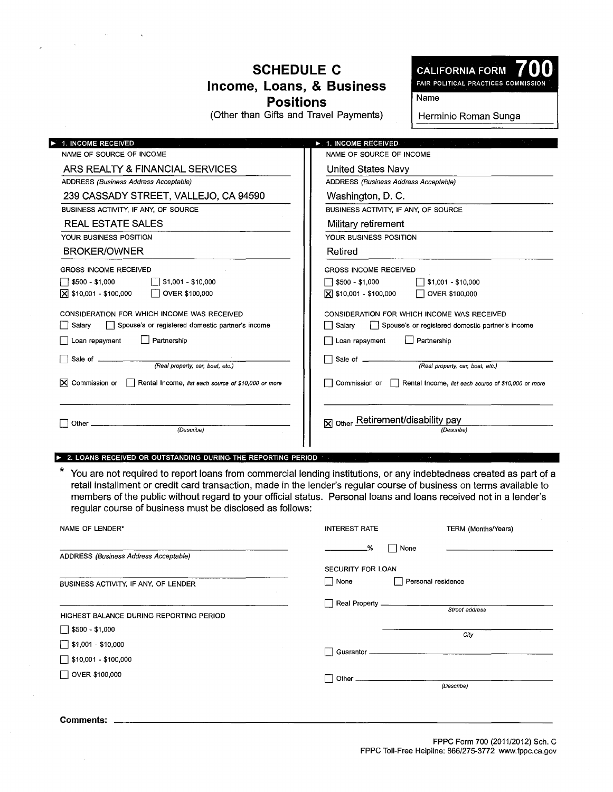#### **SCHEDULE C Income, Loans, & Business Positions**

(Other than Gifts and Travel Payments) | Herminio Roman Sunga

**CALIFORNIA FORM** 

FAIR POLITICAL PRACTICES COMMISSION

Name

| 1. INCOME RECEIVED<br>$\blacktriangleright$                            | 1. INCOME RECEIVED                                                   |
|------------------------------------------------------------------------|----------------------------------------------------------------------|
| NAME OF SOURCE OF INCOME                                               | NAME OF SOURCE OF INCOME                                             |
| ARS REALTY & FINANCIAL SERVICES                                        | United States Navy                                                   |
| ADDRESS (Business Address Acceptable)                                  | ADDRESS (Business Address Acceptable)                                |
| 239 CASSADY STREET, VALLEJO, CA 94590                                  | Washington, D. C.                                                    |
| BUSINESS ACTIVITY, IF ANY, OF SOURCE                                   | BUSINESS ACTIVITY, IF ANY, OF SOURCE                                 |
| <b>REAL ESTATE SALES</b>                                               | Military retirement                                                  |
| YOUR BUSINESS POSITION                                                 | YOUR BUSINESS POSITION                                               |
| <b>BROKER/OWNER</b>                                                    | Retired                                                              |
| GROSS INCOME RECEIVED                                                  | <b>GROSS INCOME RECEIVED</b>                                         |
| $$500 - $1,000$<br>\$1,001 - \$10,000                                  | $\sqrt{ }$ \$1,001 - \$10,000<br>\$500 - \$1,000                     |
| X \$10,001 - \$100,000 □ OVER \$100,000                                | X \$10,001 - \$100,000<br>OVER \$100,000                             |
| CONSIDERATION FOR WHICH INCOME WAS RECEIVED                            | CONSIDERATION FOR WHICH INCOME WAS RECEIVED                          |
| Spouse's or registered domestic partner's income<br>∣ Salary           | Spouse's or registered domestic partner's income<br>∣ Salarv         |
| Partnership<br>Loan repayment                                          | $\Box$ Partnership<br>Loan repayment                                 |
| Sale of __<br>(Real property, car, boat, etc.)                         | Sale of _<br>(Real property, car, boat, etc.)                        |
| X Commission or<br>Rental Income, list each source of \$10,000 or more | Commission or<br>Rental Income, list each source of \$10,000 or more |
|                                                                        |                                                                      |
| Other_<br>(Describe)                                                   | <b>X</b> Other Retirement/disability pay<br>(Describe)               |
|                                                                        |                                                                      |
|                                                                        |                                                                      |
| 2. LOANS RECEIVED OR OUTSTANDING DURING THE REPORTING PERIOD           |                                                                      |

You are not required to report loans from commercial lending institutions, or any indebtedness created as part of a retail installment or credit card transaction, made in the lender's regular course of business on terms available to members of the public without regard to your official status. Personal loans and loans received not in a lender's regular course of business must be disclosed as follows:

| NAME OF LENDER*                                                                    | <b>INTEREST RATE</b>         |                                 | TERM (Months/Years) |
|------------------------------------------------------------------------------------|------------------------------|---------------------------------|---------------------|
| ADDRESS (Business Address Acceptable)                                              | -%                           | None                            |                     |
| BUSINESS ACTIVITY, IF ANY, OF LENDER                                               | SECURITY FOR LOAN<br>None    | Personal residence              |                     |
| HIGHEST BALANCE DURING REPORTING PERIOD                                            |                              | Real Property _________________ | Street address      |
| $\Box$ \$500 - \$1,000<br>$\Box$ \$1,001 - \$10,000<br>$\Box$ \$10,001 - \$100,000 | Guarantor __________________ |                                 | City                |
| OVER \$100,000                                                                     | Other __<br>$\mathbf{I}$     |                                 | (Describe)          |

Comments: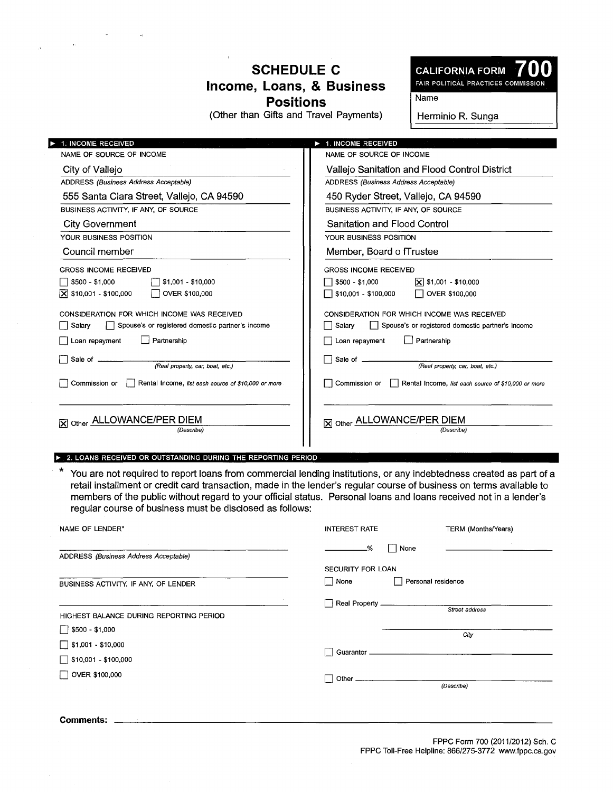#### **SCHEDULE C Income, Loans, & Business Positions**

(Other than Gifts and Travel Payments) | Herminio R. Sunga

**CALIFORNIA FORM** 

FAIR POLITICAL PRACTICES COMMISSION

Name

| 1. INCOME RECEIVED                                                      | <b>1. INCOME RECEIVED</b><br>v                                       |  |
|-------------------------------------------------------------------------|----------------------------------------------------------------------|--|
| NAME OF SOURCE OF INCOME                                                | NAME OF SOURCE OF INCOME                                             |  |
| City of Vallejo                                                         | Vallejo Sanitation and Flood Control District                        |  |
| ADDRESS (Business Address Acceptable)                                   | ADDRESS (Business Address Acceptable)                                |  |
| 555 Santa Clara Street, Vallejo, CA 94590                               | 450 Ryder Street, Vallejo, CA 94590                                  |  |
| BUSINESS ACTIVITY, IF ANY, OF SOURCE                                    | BUSINESS ACTIVITY, IF ANY, OF SOURCE                                 |  |
| <b>City Government</b>                                                  | Sanitation and Flood Control                                         |  |
| YOUR BUSINESS POSITION                                                  | YOUR BUSINESS POSITION                                               |  |
| Council member                                                          | Member, Board o fTrustee                                             |  |
| <b>GROSS INCOME RECEIVED</b>                                            | GROSS INCOME RECEIVED                                                |  |
| \$500 - \$1,000<br>\$1,001 - \$10,000                                   | $$500 - $1,000$<br>$\vert$ \times 1,001 - \$10,000                   |  |
| $\overline{X}$ \$10,001 - \$100,000<br>OVER \$100,000<br>$\blacksquare$ | $\sqrt{ }$ \$10,001 - \$100,000<br>OVER \$100,000                    |  |
| CONSIDERATION FOR WHICH INCOME WAS RECEIVED                             | CONSIDERATION FOR WHICH INCOME WAS RECEIVED                          |  |
| Spouse's or registered domestic partner's income<br>Salary              | Spouse's or registered domestic partner's income<br>Salary           |  |
| Partnership<br>Loan repayment                                           | Partnership<br>Loan repayment                                        |  |
| (Real property, car, boat, etc.)                                        | Sale of _<br>(Real property, car, boat, etc.)                        |  |
| Rental Income, list each source of \$10,000 or more<br>Commission or    | Commission or<br>Rental Income, list each source of \$10,000 or more |  |
|                                                                         |                                                                      |  |
| X Other ALLOWANCE/PER DIEM                                              | <b>X</b> Other ALLOWANCE/PER DIEM                                    |  |
| (Describe)                                                              | (Describe)                                                           |  |
|                                                                         |                                                                      |  |

 $\blacktriangleright$  2. LOANS RECEIVED OR OUTSTANDING DURING THE REPORTING PERIOD

You are not required to report loans from commercial lending institutions, or any indebtedness created as part of a retail installment or credit card transaction, made in the lender's regular course of business on terms available to members of the public without regard to your official status. Personal loans and loans received not in a lender's regular course of business must be disclosed as follows:

| NAME OF LENDER*                         | <b>INTEREST RATE</b>            | TERM (Months/Years) |
|-----------------------------------------|---------------------------------|---------------------|
| ADDRESS (Business Address Acceptable)   | None<br>_%                      |                     |
|                                         | SECURITY FOR LOAN               |                     |
| BUSINESS ACTIVITY, IF ANY, OF LENDER    | None<br>$\mathbf{I}$            | Personal residence  |
|                                         | Real Property _________________ | Street address      |
| HIGHEST BALANCE DURING REPORTING PERIOD |                                 |                     |
| $\Box$ \$500 - \$1,000                  |                                 | City                |
| $\sqrt{ }$ \$1,001 - \$10,000           |                                 |                     |
| $\Box$ \$10,001 - \$100,000             | Guarantor _________________     |                     |
| OVER \$100,000                          |                                 |                     |
|                                         |                                 | (Describe)          |
|                                         |                                 |                     |
|                                         |                                 |                     |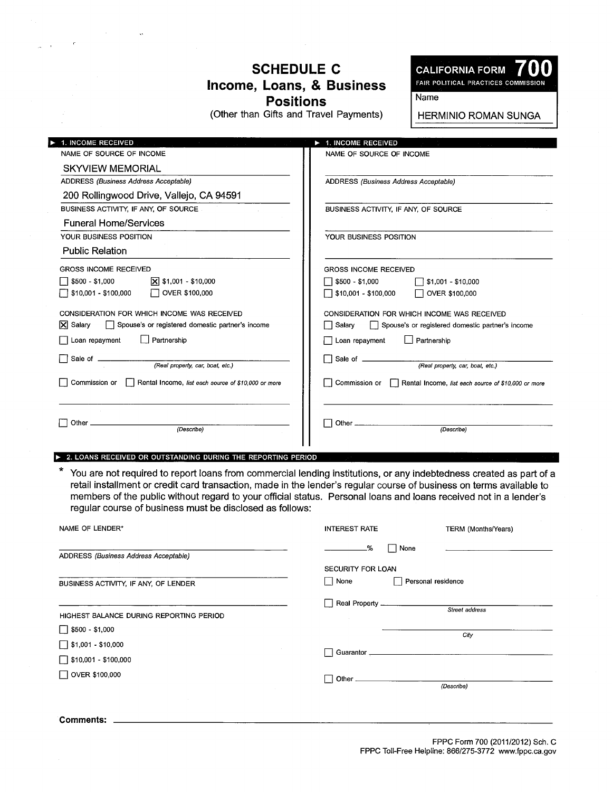## **SCHEDULE C Income, Loans, & Business Positions**

(Other than Gifts and Travel Payments) | HERMINIO ROMAN SUNGA

**CALIFORNIA FORM 700** FAIR POLITICAL PRACTICES COMMISSION

Name

| 1. INCOME RECEIVED                                                                                                                                         | <b>1. INCOME RECEIVED</b>                                                                                                                             |
|------------------------------------------------------------------------------------------------------------------------------------------------------------|-------------------------------------------------------------------------------------------------------------------------------------------------------|
| NAME OF SOURCE OF INCOME                                                                                                                                   | NAME OF SOURCE OF INCOME                                                                                                                              |
| <b>SKYVIEW MEMORIAL</b>                                                                                                                                    |                                                                                                                                                       |
| ADDRESS (Business Address Acceptable)                                                                                                                      | ADDRESS (Business Address Acceptable)                                                                                                                 |
| 200 Rollingwood Drive, Vallejo, CA 94591                                                                                                                   |                                                                                                                                                       |
| BUSINESS ACTIVITY, IF ANY, OF SOURCE                                                                                                                       | BUSINESS ACTIVITY, IF ANY, OF SOURCE                                                                                                                  |
| <b>Funeral Home/Services</b>                                                                                                                               |                                                                                                                                                       |
| YOUR BUSINESS POSITION                                                                                                                                     | YOUR BUSINESS POSITION                                                                                                                                |
| <b>Public Relation</b>                                                                                                                                     |                                                                                                                                                       |
| <b>GROSS INCOME RECEIVED</b>                                                                                                                               | <b>GROSS INCOME RECEIVED</b>                                                                                                                          |
| $\overline{X}$ \$1,001 - \$10,000<br>$$500 - $1,000$                                                                                                       | $\sqrt{500 - 1,000}$<br>\$1,001 - \$10,000                                                                                                            |
| \$10,001 - \$100,000<br>OVER \$100,000                                                                                                                     | ◯ \$10,001 - \$100,000<br>OVER \$100,000                                                                                                              |
| CONSIDERATION FOR WHICH INCOME WAS RECEIVED<br>Spouse's or registered domestic partner's income<br><b>X</b> Salary<br>$\Box$ Partnership<br>Loan repayment | CONSIDERATION FOR WHICH INCOME WAS RECEIVED<br>  Salary<br>  Spouse's or registered domestic partner's income<br>Loan repayment<br>$\Box$ Partnership |
| Sale of ____________<br>(Real property, car, boat, etc.)                                                                                                   | Sale of _<br>(Real property, car, boat, etc.)                                                                                                         |
| Commission or<br>Rental Income, list each source of \$10,000 or more                                                                                       | Commission or<br>Rental Income, list each source of \$10,000 or more                                                                                  |
| Other.<br>(Describe)                                                                                                                                       | Other $-$<br>(Describe)                                                                                                                               |

 $\blacktriangleright$  2. LOANS RECEIVED OR OUTSTANDING DURING THE REPORTING PERIOD

You are not required to report loans from commercial lending institutions, or any indebtedness created as part of a retail installment or credit card transaction, made in the lender's regular course of business on terms available to members of the public without regard to your official status. Personal loans and loans received not in a lender's regular course of business must be disclosed as follows:

| NAME OF LENDER*                                          | <b>INTEREST RATE</b>                                                                                                                                                                                                                                                                                                                                                                            | <b>TERM (Months/Years)</b> |
|----------------------------------------------------------|-------------------------------------------------------------------------------------------------------------------------------------------------------------------------------------------------------------------------------------------------------------------------------------------------------------------------------------------------------------------------------------------------|----------------------------|
| ADDRESS (Business Address Acceptable)                    | None<br>-%<br>$\label{eq:2.1} \frac{1}{2} \sum_{i=1}^n \frac{1}{2} \sum_{i=1}^n \frac{1}{2} \sum_{i=1}^n \frac{1}{2} \sum_{i=1}^n \frac{1}{2} \sum_{i=1}^n \frac{1}{2} \sum_{i=1}^n \frac{1}{2} \sum_{i=1}^n \frac{1}{2} \sum_{i=1}^n \frac{1}{2} \sum_{i=1}^n \frac{1}{2} \sum_{i=1}^n \frac{1}{2} \sum_{i=1}^n \frac{1}{2} \sum_{i=1}^n \frac{1}{2} \sum_{i=1}^n \frac{$<br>SECURITY FOR LOAN |                            |
| BUSINESS ACTIVITY, IF ANY, OF LENDER                     | $\Box$ None                                                                                                                                                                                                                                                                                                                                                                                     | Personal residence         |
| HIGHEST BALANCE DURING REPORTING PERIOD                  |                                                                                                                                                                                                                                                                                                                                                                                                 | Street address             |
| $\Box$ \$500 - \$1,000                                   |                                                                                                                                                                                                                                                                                                                                                                                                 | City                       |
| $\Box$ \$1,001 - \$10,000<br>$\Box$ \$10,001 - \$100,000 |                                                                                                                                                                                                                                                                                                                                                                                                 |                            |
| OVER \$100,000                                           | $\blacksquare$                                                                                                                                                                                                                                                                                                                                                                                  | (Describe)                 |
|                                                          |                                                                                                                                                                                                                                                                                                                                                                                                 |                            |
| <b>Comments:</b>                                         |                                                                                                                                                                                                                                                                                                                                                                                                 |                            |